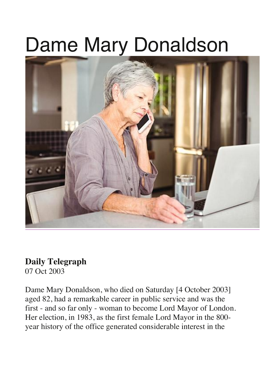## Dame Mary Donaldson



## **Daily Telegraph**

07 Oct 2003

Dame Mary Donaldson, who died on Saturday [4 October 2003] aged 82, had a remarkable career in public service and was the first - and so far only - woman to become Lord Mayor of London. Her election, in 1983, as the first female Lord Mayor in the 800 year history of the office generated considerable interest in the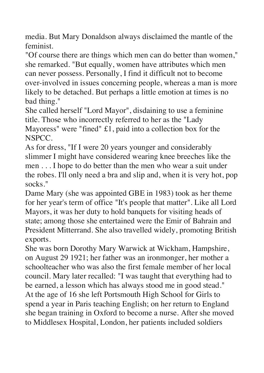media. But Mary Donaldson always disclaimed the mantle of the feminist.

"Of course there are things which men can do better than women," she remarked. "But equally, women have attributes which men can never possess. Personally, I find it difficult not to become over-involved in issues concerning people, whereas a man is more likely to be detached. But perhaps a little emotion at times is no bad thing."

She called herself "Lord Mayor", disdaining to use a feminine title. Those who incorrectly referred to her as the "Lady Mayoress" were "fined" £1, paid into a collection box for the NSPCC.

As for dress, "If I were 20 years younger and considerably slimmer I might have considered wearing knee breeches like the men . . . I hope to do better than the men who wear a suit under the robes. I'll only need a bra and slip and, when it is very hot, pop socks."

Dame Mary (she was appointed GBE in 1983) took as her theme for her year's term of office "It's people that matter". Like all Lord Mayors, it was her duty to hold banquets for visiting heads of state; among those she entertained were the Emir of Bahrain and President Mitterrand. She also travelled widely, promoting British exports.

She was born Dorothy Mary Warwick at Wickham, Hampshire, on August 29 1921; her father was an ironmonger, her mother a schoolteacher who was also the first female member of her local council. Mary later recalled: "I was taught that everything had to be earned, a lesson which has always stood me in good stead." At the age of 16 she left Portsmouth High School for Girls to spend a year in Paris teaching English; on her return to England she began training in Oxford to become a nurse. After she moved to Middlesex Hospital, London, her patients included soldiers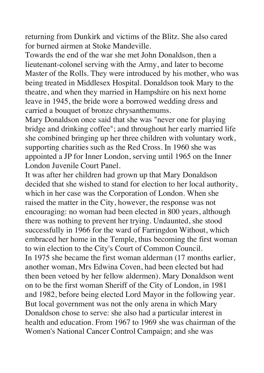returning from Dunkirk and victims of the Blitz. She also cared for burned airmen at Stoke Mandeville.

Towards the end of the war she met John Donaldson, then a lieutenant-colonel serving with the Army, and later to become Master of the Rolls. They were introduced by his mother, who was being treated in Middlesex Hospital. Donaldson took Mary to the theatre, and when they married in Hampshire on his next home leave in 1945, the bride wore a borrowed wedding dress and carried a bouquet of bronze chrysanthemums.

Mary Donaldson once said that she was "never one for playing bridge and drinking coffee"; and throughout her early married life she combined bringing up her three children with voluntary work, supporting charities such as the Red Cross. In 1960 she was appointed a JP for Inner London, serving until 1965 on the Inner London Juvenile Court Panel.

It was after her children had grown up that Mary Donaldson decided that she wished to stand for election to her local authority, which in her case was the Corporation of London. When she raised the matter in the City, however, the response was not encouraging: no woman had been elected in 800 years, although there was nothing to prevent her trying. Undaunted, she stood successfully in 1966 for the ward of Farringdon Without, which embraced her home in the Temple, thus becoming the first woman to win election to the City's Court of Common Council. In 1975 she became the first woman alderman (17 months earlier, another woman, Mrs Edwina Coven, had been elected but had then been vetoed by her fellow aldermen). Mary Donaldson went on to be the first woman Sheriff of the City of London, in 1981 and 1982, before being elected Lord Mayor in the following year. But local government was not the only arena in which Mary Donaldson chose to serve: she also had a particular interest in health and education. From 1967 to 1969 she was chairman of the Women's National Cancer Control Campaign; and she was